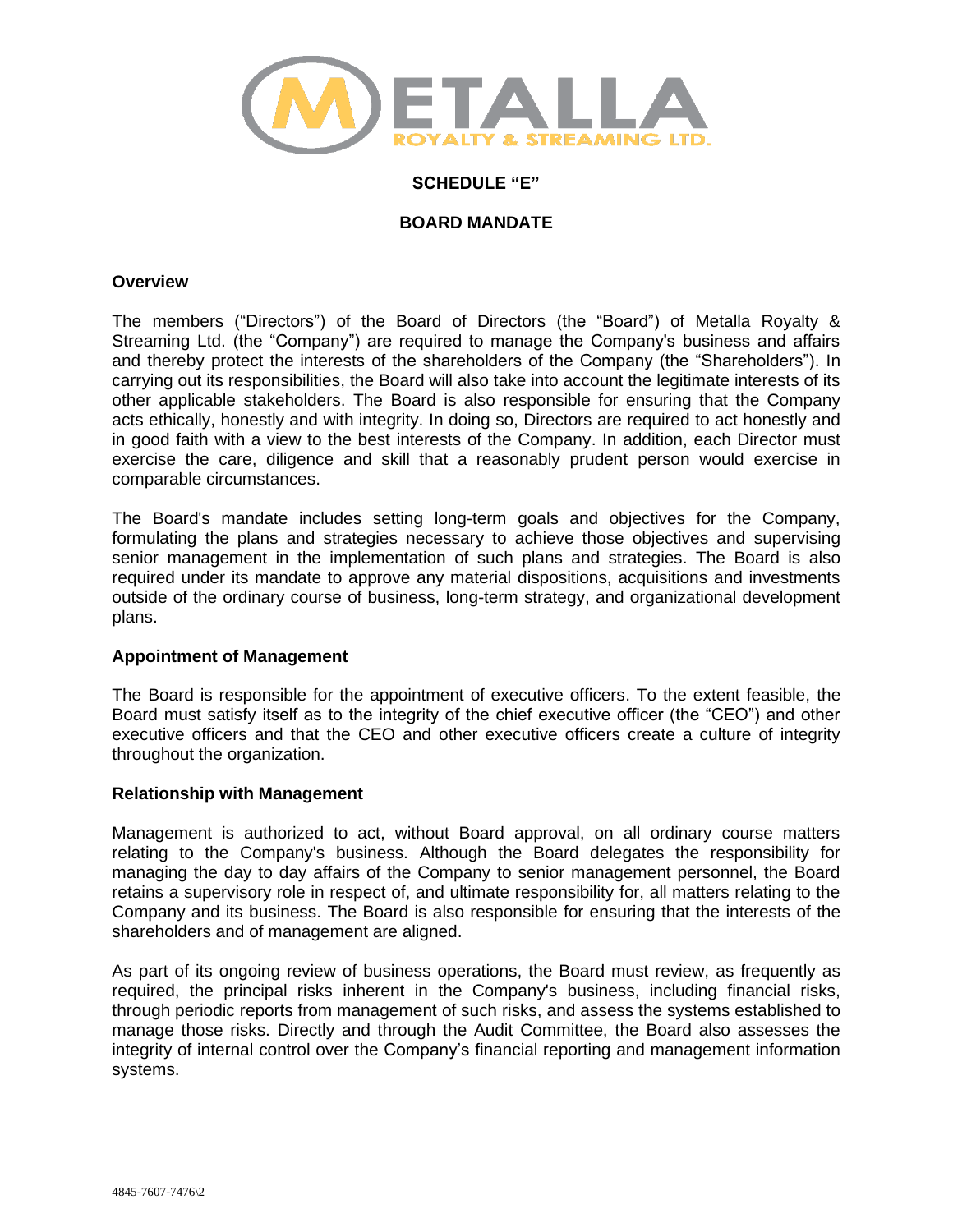

## **SCHEDULE "E"**

# **BOARD MANDATE**

#### **Overview**

The members ("Directors") of the Board of Directors (the "Board") of Metalla Royalty & Streaming Ltd. (the "Company") are required to manage the Company's business and affairs and thereby protect the interests of the shareholders of the Company (the "Shareholders"). In carrying out its responsibilities, the Board will also take into account the legitimate interests of its other applicable stakeholders. The Board is also responsible for ensuring that the Company acts ethically, honestly and with integrity. In doing so, Directors are required to act honestly and in good faith with a view to the best interests of the Company. In addition, each Director must exercise the care, diligence and skill that a reasonably prudent person would exercise in comparable circumstances.

The Board's mandate includes setting long-term goals and objectives for the Company, formulating the plans and strategies necessary to achieve those objectives and supervising senior management in the implementation of such plans and strategies. The Board is also required under its mandate to approve any material dispositions, acquisitions and investments outside of the ordinary course of business, long-term strategy, and organizational development plans.

### **Appointment of Management**

The Board is responsible for the appointment of executive officers. To the extent feasible, the Board must satisfy itself as to the integrity of the chief executive officer (the "CEO") and other executive officers and that the CEO and other executive officers create a culture of integrity throughout the organization.

### **Relationship with Management**

Management is authorized to act, without Board approval, on all ordinary course matters relating to the Company's business. Although the Board delegates the responsibility for managing the day to day affairs of the Company to senior management personnel, the Board retains a supervisory role in respect of, and ultimate responsibility for, all matters relating to the Company and its business. The Board is also responsible for ensuring that the interests of the shareholders and of management are aligned.

As part of its ongoing review of business operations, the Board must review, as frequently as required, the principal risks inherent in the Company's business, including financial risks, through periodic reports from management of such risks, and assess the systems established to manage those risks. Directly and through the Audit Committee, the Board also assesses the integrity of internal control over the Company's financial reporting and management information systems.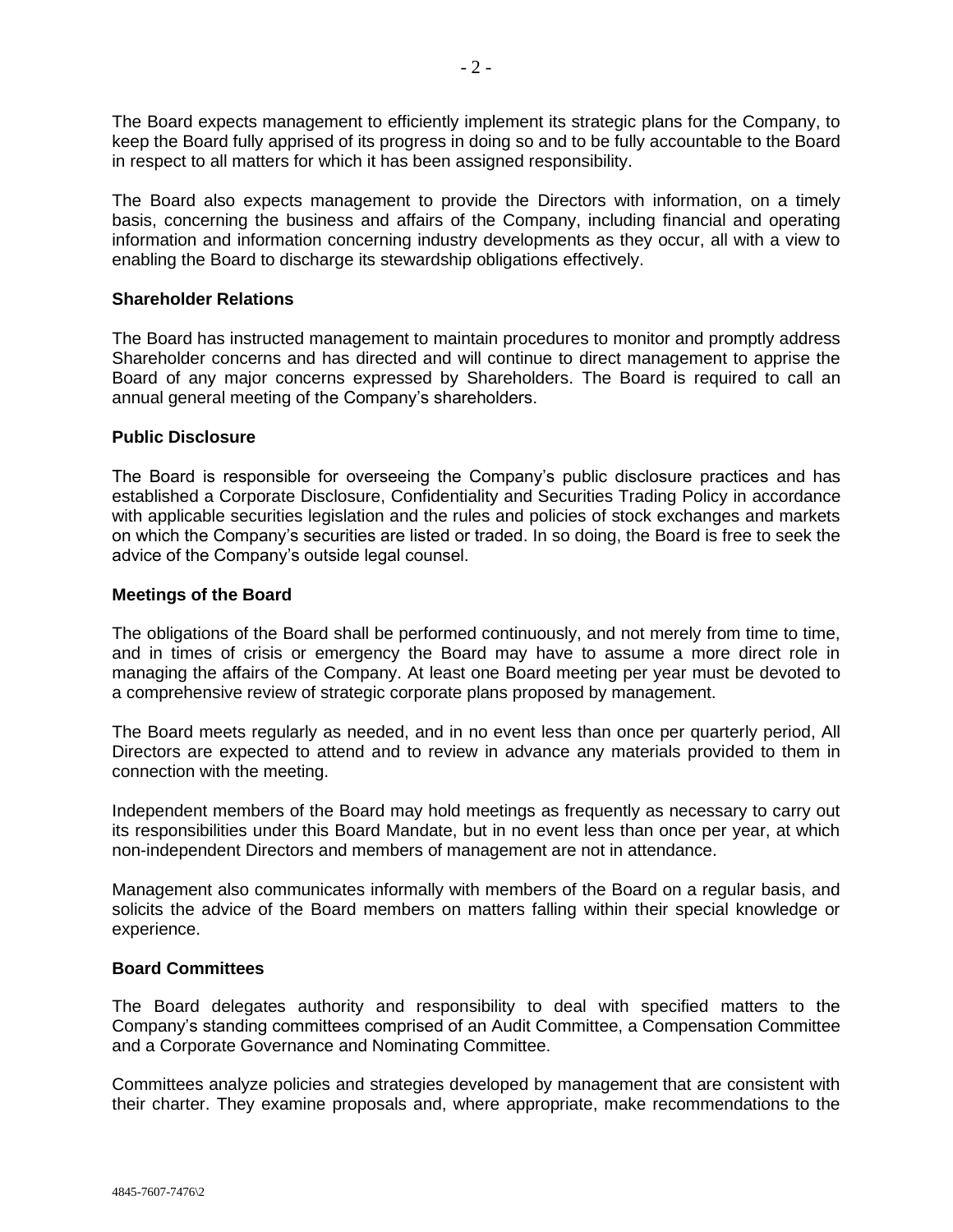The Board expects management to efficiently implement its strategic plans for the Company, to keep the Board fully apprised of its progress in doing so and to be fully accountable to the Board in respect to all matters for which it has been assigned responsibility.

The Board also expects management to provide the Directors with information, on a timely basis, concerning the business and affairs of the Company, including financial and operating information and information concerning industry developments as they occur, all with a view to enabling the Board to discharge its stewardship obligations effectively.

# **Shareholder Relations**

The Board has instructed management to maintain procedures to monitor and promptly address Shareholder concerns and has directed and will continue to direct management to apprise the Board of any major concerns expressed by Shareholders. The Board is required to call an annual general meeting of the Company's shareholders.

## **Public Disclosure**

The Board is responsible for overseeing the Company's public disclosure practices and has established a Corporate Disclosure, Confidentiality and Securities Trading Policy in accordance with applicable securities legislation and the rules and policies of stock exchanges and markets on which the Company's securities are listed or traded. In so doing, the Board is free to seek the advice of the Company's outside legal counsel.

# **Meetings of the Board**

The obligations of the Board shall be performed continuously, and not merely from time to time, and in times of crisis or emergency the Board may have to assume a more direct role in managing the affairs of the Company. At least one Board meeting per year must be devoted to a comprehensive review of strategic corporate plans proposed by management.

The Board meets regularly as needed, and in no event less than once per quarterly period, All Directors are expected to attend and to review in advance any materials provided to them in connection with the meeting.

Independent members of the Board may hold meetings as frequently as necessary to carry out its responsibilities under this Board Mandate, but in no event less than once per year, at which non-independent Directors and members of management are not in attendance.

Management also communicates informally with members of the Board on a regular basis, and solicits the advice of the Board members on matters falling within their special knowledge or experience.

### **Board Committees**

The Board delegates authority and responsibility to deal with specified matters to the Company's standing committees comprised of an Audit Committee, a Compensation Committee and a Corporate Governance and Nominating Committee.

Committees analyze policies and strategies developed by management that are consistent with their charter. They examine proposals and, where appropriate, make recommendations to the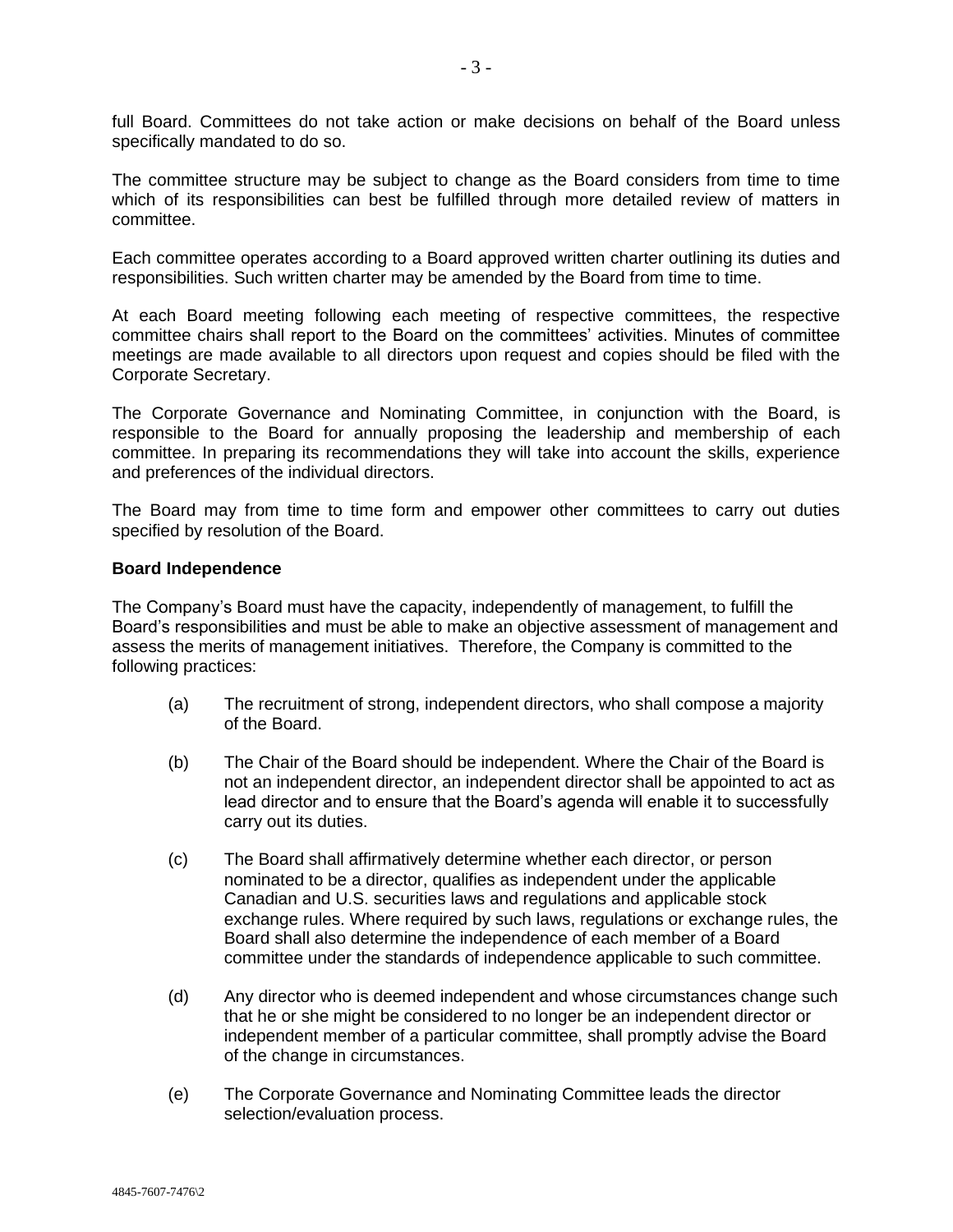full Board. Committees do not take action or make decisions on behalf of the Board unless specifically mandated to do so.

The committee structure may be subject to change as the Board considers from time to time which of its responsibilities can best be fulfilled through more detailed review of matters in committee.

Each committee operates according to a Board approved written charter outlining its duties and responsibilities. Such written charter may be amended by the Board from time to time.

At each Board meeting following each meeting of respective committees, the respective committee chairs shall report to the Board on the committees' activities. Minutes of committee meetings are made available to all directors upon request and copies should be filed with the Corporate Secretary.

The Corporate Governance and Nominating Committee, in conjunction with the Board, is responsible to the Board for annually proposing the leadership and membership of each committee. In preparing its recommendations they will take into account the skills, experience and preferences of the individual directors.

The Board may from time to time form and empower other committees to carry out duties specified by resolution of the Board.

#### **Board Independence**

The Company's Board must have the capacity, independently of management, to fulfill the Board's responsibilities and must be able to make an objective assessment of management and assess the merits of management initiatives. Therefore, the Company is committed to the following practices:

- (a) The recruitment of strong, independent directors, who shall compose a majority of the Board.
- (b) The Chair of the Board should be independent. Where the Chair of the Board is not an independent director, an independent director shall be appointed to act as lead director and to ensure that the Board's agenda will enable it to successfully carry out its duties.
- (c) The Board shall affirmatively determine whether each director, or person nominated to be a director, qualifies as independent under the applicable Canadian and U.S. securities laws and regulations and applicable stock exchange rules. Where required by such laws, regulations or exchange rules, the Board shall also determine the independence of each member of a Board committee under the standards of independence applicable to such committee.
- (d) Any director who is deemed independent and whose circumstances change such that he or she might be considered to no longer be an independent director or independent member of a particular committee, shall promptly advise the Board of the change in circumstances.
- (e) The Corporate Governance and Nominating Committee leads the director selection/evaluation process.